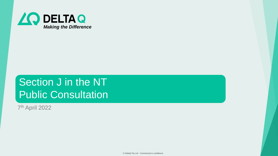

### Section J in the NT Public Consultation

7 th April 2022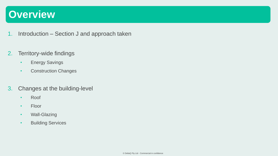### **Overview**

- 1. Introduction Section J and approach taken
- 2. Territory-wide findings
	- Energy Savings
	- Construction Changes
- 3. Changes at the building-level
	- Roof
	- Floor
	- Wall-Glazing
	- Building Services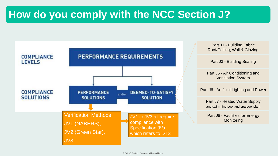### **How do you comply with the NCC Section J?**

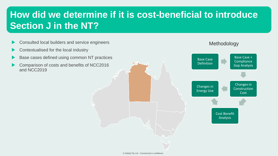### **How did we determine if it is cost-beneficial to introduce Section J in the NT?**

- Consulted local builders and service engineers
- Contextualised for the local industry
- Base cases defined using common NT practices
- Comparison of costs and benefits of NCC2016 and NCC2019

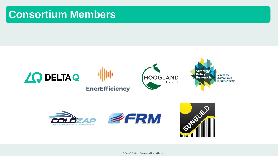### **Consortium Members**







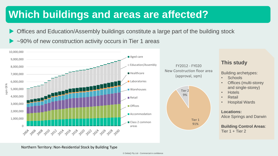### **Which buildings and areas are affected?**

- Offices and Education/Assembly buildings constitute a large part of the building stock
- ► ~90% of new construction activity occurs in Tier 1 areas

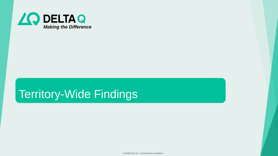

### Territory-Wide Findings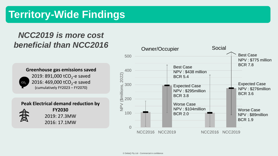### **Territory-Wide Findings**

### *NCC2019 is more cost beneficial than NCC2016*

**Greenhouse gas emissions saved** 2019: 891,000 tCO<sub>2</sub>-e saved 2016: 469,000 tCO<sub>2</sub>-e saved (cumulatively FY2023 – FY2070)  $CO<sub>2</sub>$ 

**Peak Electrical demand reduction by** 



**FY2030** 2019: 27.3MW 2016: 17.1MW

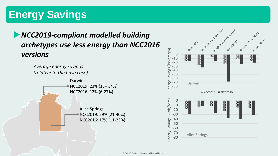### **Energy Savings**

### *NCC2019-compliant modelled building archetypes use less energy than NCC2016 versions*



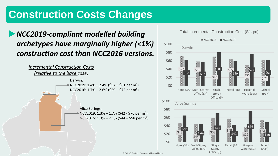### **Construction Costs Changes**

### *NCC2019-compliant modelled building archetypes have marginally higher (<1%) construction cost than NCC2016 versions.*



Total Incremental Construction Cost (\$/sqm)

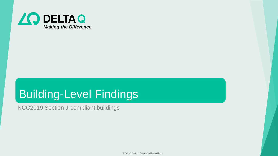

## Building-Level Findings

NCC2019 Section J-compliant buildings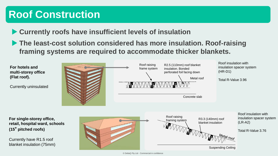### **Roof Construction**

**Currently roofs have insufficient levels of insulation**

▶ The least-cost solution considered has more insulation. Roof-raising **framing systems are required to accommodate thicker blankets.**

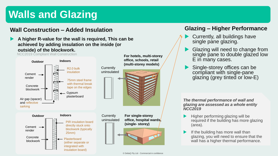### **Walls and Glazing**

#### **Wall Construction – Added Insulation**

 **A higher R-value for the wall is required, This can be achieved by adding insulation on the inside (or outside) of the blockwork.**

NCC2019 Compliant Wall Construction



#### **Glazing – Higher Performance**

- Currently, all buildings have single pane glazing.
- Glazing will need to change from single pane to double glazed low E in many cases.
- Single-storey offices can be compliant with single-pane glazing (grey tinted or low-E)

*The thermal performance of wall and glazing are assessed as a whole entity NCC2019*

- Higher performing glazing will be required if the building has more glazing (area).
- If the building has more wall than glazing, you will need to ensure that the wall has a higher thermal performance.

**For hotels, multi-storey**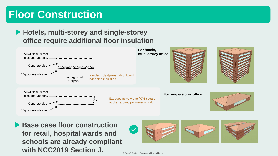### **Floor Construction**

#### **Hotels, multi-storey and single-storey office require additional floor insulation**



**Base case floor construction for retail, hospital wards and schools are already compliant with NCC2019 Section J.** 

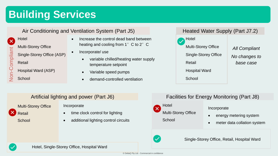### **Building Services**

#### Air Conditioning and Ventilation System (Part J5)

**Hotel** Multi-Storey Office Single-Storey Office (ASP) Retail -Compliant

- 
- Hospital Ward (ASP)
- Non **School**
- Increase the control dead band between heating and cooling from  $1^\circ$  C to  $2^\circ$  C
- Incorporate/use
	- variable chilled/heating water supply temperature setpoint
	- Variable speed pumps
	- demand-controlled ventilation



#### Artificial lighting and power (Part J6)

Multi-Storey Office Retail **School** 

#### Incorporate

- time clock control for lighting
- additional lighting control circuits

#### Facilities for Energy Monitoring (Part J8)



Incorporate

- energy metering system
- meter data collation system



Single-Storey Office, Retail, Hospital Ward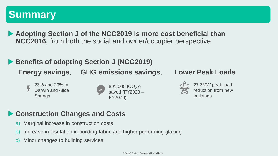### **Summary**

▶ Adopting Section **J** of the NCC2019 is more cost beneficial than **NCC2016,** from both the social and owner/occupier perspective

### **Benefits of adopting Section J (NCC2019) Energy savings**, **GHG emissions savings**, **Lower Peak Loads**

23% and 29% in Darwin and Alice **Springs** 





27.3MW peak load reduction from new buildings

### **Construction Changes and Costs**

- a) Marginal increase in construction costs
- b) Increase in insulation in building fabric and higher performing glazing
- c) Minor changes to building services